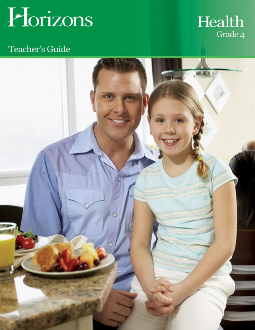

# Health Grade 4

### Teacher's Guide

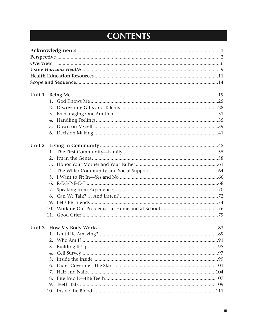### **CONTENTS**

| Unit 1 |    |  |
|--------|----|--|
|        |    |  |
|        |    |  |
|        | 3. |  |
|        | 4. |  |
|        |    |  |
|        |    |  |
| Unit 2 |    |  |
|        |    |  |
|        |    |  |
|        | 3. |  |
|        | 4. |  |
|        | 5. |  |
|        | 6. |  |
|        |    |  |
|        |    |  |
|        |    |  |
|        |    |  |
|        |    |  |
|        |    |  |
|        |    |  |
|        |    |  |
|        |    |  |
|        | 3. |  |
|        | 4. |  |
|        | 5. |  |
|        | 6. |  |
|        | 7. |  |
|        | 8. |  |
|        | 9. |  |
|        |    |  |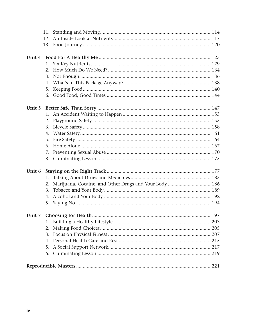| Unit 4 |    |                                                       |  |
|--------|----|-------------------------------------------------------|--|
|        | 1. |                                                       |  |
|        | 2. |                                                       |  |
|        | 3. |                                                       |  |
|        | 4. |                                                       |  |
|        | 5. |                                                       |  |
|        |    |                                                       |  |
| Unit 5 |    |                                                       |  |
|        | 1. |                                                       |  |
|        | 2. |                                                       |  |
|        | 3. |                                                       |  |
|        | 4. |                                                       |  |
|        | 5. |                                                       |  |
|        | 6. |                                                       |  |
|        |    |                                                       |  |
|        |    |                                                       |  |
| Unit 6 |    |                                                       |  |
|        | 1. |                                                       |  |
|        | 2. | Marijuana, Cocaine, and Other Drugs and Your Body 186 |  |
|        | 3. |                                                       |  |
|        |    |                                                       |  |
|        |    |                                                       |  |
|        |    |                                                       |  |
|        | 1. |                                                       |  |
|        | 2. |                                                       |  |
|        | 3. |                                                       |  |
|        | 4. |                                                       |  |
|        | 5. |                                                       |  |
|        | 6. |                                                       |  |
|        |    |                                                       |  |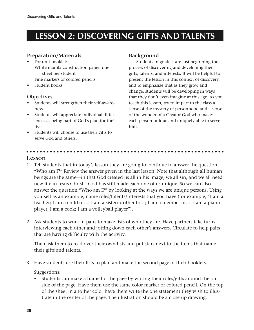### **LESSON 2: DISCOVERING GIFTS AND TALENTS**

#### **Preparation/Materials**

- For unit booklet: White manila construction paper, one sheet per student Fine markers or colored pencils
- Student books

#### **Objectives**

- Students will strengthen their self-awareness.
- Students will appreciate individual differences as being part of God's plan for their lives.
- Students will choose to use their gifts to serve God and others.

#### **Background**

Students in grade 4 are just beginning the process of discovering and developing their gifts, talents, and interests. It will be helpful to present the lesson in this context of discovery, and to emphasize that as they grow and change, students will be developing in ways that they don't even imagine at this age. As you teach this lesson, try to impart to the class a sense of the mystery of personhood and a sense of the wonder of a Creator God who makes each person unique and uniquely able to serve him.

#### **Lesson**

1. Tell students that in today's lesson they are going to continue to answer the question "Who am I?" Review the answer given in the last lesson. Note that although all human beings are the same—in that God created us all in his image, we all sin, and we all need new life in Jesus Christ—God has still made each one of us unique. So we can also answer the question "Who am I?" by looking at the ways we are unique persons. Using yourself as an example, name roles/talents/interests that you have (for example, "I am a teacher; I am a child of…; I am a sister/brother to…; I am a member of…; I am a piano player; I am a cook; I am a volleyball player").

2. Ask students to work in pairs to make lists of who they are. Have partners take turns interviewing each other and jotting down each other's answers. Circulate to help pairs that are having difficulty with the activity.

Then ask them to read over their own lists and put stars next to the items that name their gifts and talents.

3. Have students use their lists to plan and make the second page of their booklets.

Suggestions:

• Students can make a frame for the page by writing their roles/gifts around the outside of the page. Have them use the same color marker or colored pencil. On the top of the sheet in another color have them write the one statement they wish to illustrate in the center of the page. The illustration should be a close-up drawing.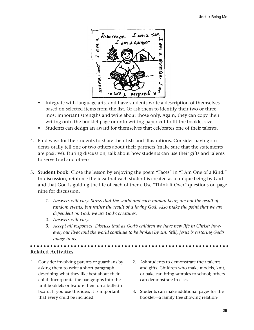

- Integrate with language arts, and have students write a description of themselves based on selected items from the list. Or ask them to identify their two or three most important strengths and write about those only. Again, they can copy their writing onto the booklet page or onto writing paper cut to fit the booklet size.
- Students can design an award for themselves that celebrates one of their talents.
- 4. Find ways for the students to share their lists and illustrations. Consider having students orally tell one or two others about their partners (make sure that the statements are positive). During discussion, talk about how students can use their gifts and talents to serve God and others.
- 5. **Student book**. Close the lesson by enjoying the poem "Faces" in "I Am One of a Kind." In discussion, reinforce the idea that each student is created as a unique being by God and that God is guiding the life of each of them. Use "Think It Over" questions on page nine for discussion.
	- *1. Answers will vary. Stress that the world and each human being are not the result of random events, but rather the result of a loving God. Also make the point that we are dependent on God; we are God's creatures.*
	- *2. Answers will vary.*
	- *3. Accept all responses. Discuss that as God's children we have new life in Christ; however, our lives and the world continue to be broken by sin. Still, Jesus is restoring God's image in us.*

**Related Activities**

- 1. Consider involving parents or guardians by asking them to write a short paragraph describing what they like best about their child. Incorporate the paragraphs into the unit booklets or feature them on a bulletin board. If you use this idea, it is important that every child be included.
- 2. Ask students to demonstrate their talents and gifts. Children who make models, knit, or bake can bring samples to school; others can demonstrate in class.
- 3. Students can make additional pages for the booklet—a family tree showing relation-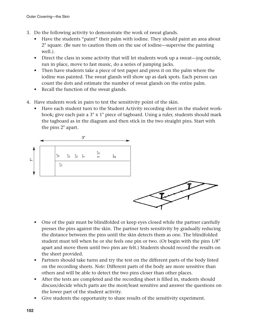- 3. Do the following activity to demonstrate the work of sweat glands.
	- Have the students "paint" their palm with iodine. They should paint an area about 2" square. (Be sure to caution them on the use of iodine—supervise the painting well.).
	- Direct the class in some activity that will let students work up a sweat—jog outside, run in place, move to fast music, do a series of jumping jacks.
	- Then have students take a piece of test paper and press it on the palm where the iodine was painted. The sweat glands will show up as dark spots. Each person can count the dots and estimate the number of sweat glands on the entire palm.
	- Recall the function of the sweat glands.
- 4. Have students work in pairs to test the sensitivity point of the skin.
	- Have each student turn to the Student Activity recording sheet in the student workbook; give each pair a 3" x 1" piece of tagboard. Using a ruler, students should mark the tagboard as in the diagram and then stick in the two straight pins. Start with the pins 2" apart.





- One of the pair must be blindfolded or keep eyes closed while the partner carefully presses the pins against the skin. The partner tests sensitivity by gradually reducing the distance between the pins until the skin detects them as one. The blindfolded student must tell when he or she feels one pin or two. (Or begin with the pins 1/8" apart and move them until two pins are felt.) Students should record the results on the sheet provided.
- Partners should take turns and try the test on the different parts of the body listed on the recording sheets. *Note:* Different parts of the body are more sensitive than others and will be able to detect the two pins closer than other places.
- After the tests are completed and the recording sheet is filled in, students should discuss/decide which parts are the most/least sensitive and answer the questions on the lower part of the student activity.
- Give students the opportunity to share results of the sensitivity experiment.